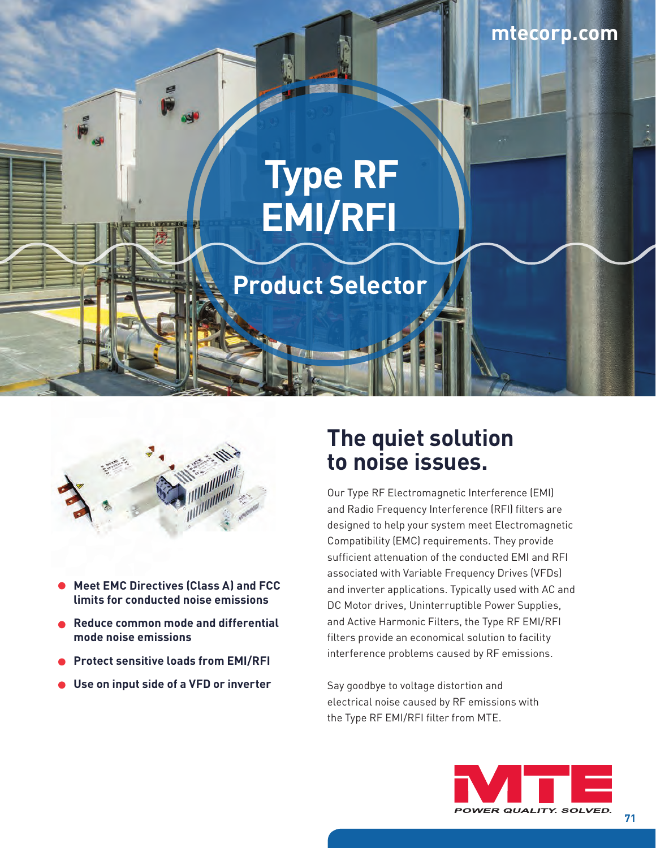# **Type RF EMI/RFI**

## **Product Selector**



- **Meet EMC Directives (Class A) and FCC limits for conducted noise emissions**
- **Reduce common mode and differential mode noise emissions**
- **Protect sensitive loads from EMI/RFI**
- **Use on input side of a VFD or inverter**

### **The quiet solution to noise issues.**

Our Type RF Electromagnetic Interference (EMI) and Radio Frequency Interference (RFI) filters are designed to help your system meet Electromagnetic Compatibility (EMC) requirements. They provide sufficient attenuation of the conducted EMI and RFI associated with Variable Frequency Drives (VFDs) and inverter applications. Typically used with AC and DC Motor drives, Uninterruptible Power Supplies, and Active Harmonic Filters, the Type RF EMI/RFI filters provide an economical solution to facility interference problems caused by RF emissions.

Say goodbye to voltage distortion and electrical noise caused by RF emissions with the Type RF EMI/RFI filter from MTE.



**71**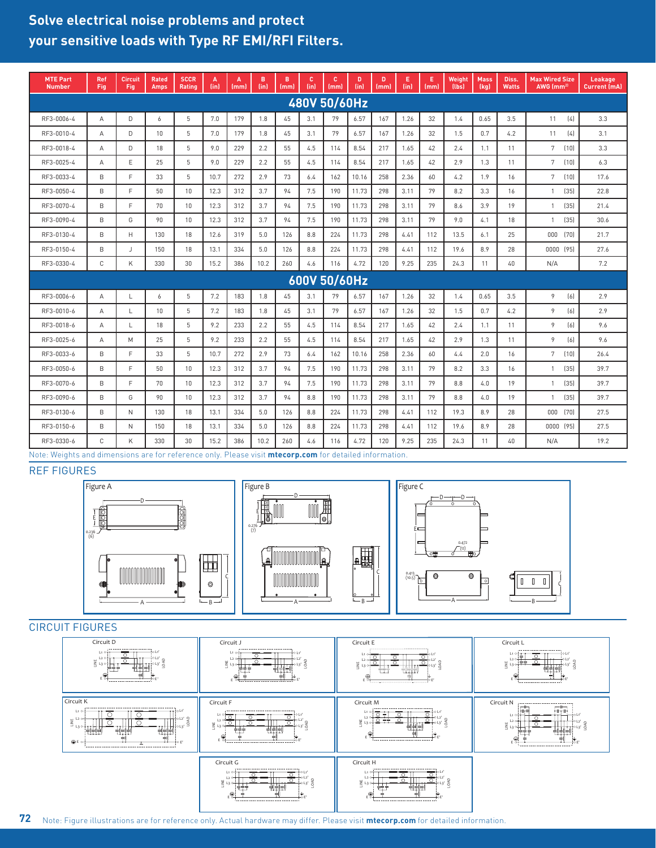### **Solve electrical noise problems and protect your sensitive loads with Type RF EMI/RFI Filters.**

| <b>MTE Part</b><br><b>Number</b> | Ref<br>Fig     | <b>Circuit</b><br>Fig | <b>Rated</b><br><b>Amps</b> | <b>SCCR</b><br>Rating | A<br>(in) | A<br>(mm) | в<br>(in) | B<br>(mm) | c<br>(in) | c<br>(mm) | D<br>(in) | D<br>(mm) | Е<br>(in) | E.<br>(mm) | Weight<br>(lbs) | <b>Mass</b><br>(kg) | Diss.<br><b>Watts</b> | <b>Max Wired Size</b><br>AWG (mm <sup>2)</sup> | Leakage<br><b>Current (mA)</b> |
|----------------------------------|----------------|-----------------------|-----------------------------|-----------------------|-----------|-----------|-----------|-----------|-----------|-----------|-----------|-----------|-----------|------------|-----------------|---------------------|-----------------------|------------------------------------------------|--------------------------------|
| 480V 50/60Hz                     |                |                       |                             |                       |           |           |           |           |           |           |           |           |           |            |                 |                     |                       |                                                |                                |
| RF3-0006-4                       | $\overline{A}$ | D                     | 6                           | 5                     | 7.0       | 179       | 1.8       | 45        | 3.1       | 79        | 6.57      | 167       | 1.26      | 32         | 1.4             | 0.65                | 3.5                   | 11<br>(4)                                      | 3.3                            |
| RF3-0010-4                       | $\overline{A}$ | D                     | 10                          | 5                     | 7.0       | 179       | 1.8       | 45        | 3.1       | 79        | 6.57      | 167       | 1.26      | 32         | 1.5             | 0.7                 | 4.2                   | (4)<br>11                                      | 3.1                            |
| RF3-0018-4                       | $\overline{A}$ | D                     | 18                          | 5                     | 9.0       | 229       | 2.2       | 55        | 4.5       | 114       | 8.54      | 217       | 1.65      | 42         | 2.4             | 1.1                 | 11                    | 7<br>(10)                                      | 3.3                            |
| RF3-0025-4                       | $\overline{A}$ | E                     | 25                          | 5                     | 9.0       | 229       | 2.2       | 55        | 4.5       | 114       | 8.54      | 217       | 1.65      | 42         | 2.9             | 1.3                 | 11                    | 7<br>(10)                                      | 6.3                            |
| RF3-0033-4                       | B              | F.                    | 33                          | 5                     | 10.7      | 272       | 2.9       | 73        | 6.4       | 162       | 10.16     | 258       | 2.36      | 60         | 4.2             | 1.9                 | 16                    | $\overline{7}$<br>(10)                         | 17.6                           |
| RF3-0050-4                       | B              | E                     | 50                          | 10                    | 12.3      | 312       | 3.7       | 94        | 7.5       | 190       | 11.73     | 298       | 3.11      | 79         | 8.2             | 3.3                 | 16                    | $\mathbf{1}$<br>(35)                           | 22.8                           |
| RF3-0070-4                       | B              | F.                    | 70                          | 10                    | 12.3      | 312       | 3.7       | 94        | 7.5       | 190       | 11.73     | 298       | 3.11      | 79         | 8.6             | 3.9                 | 19                    | (35)<br>$\overline{1}$                         | 21.4                           |
| RF3-0090-4                       | B              | G                     | 90                          | 10                    | 12.3      | 312       | 3.7       | 94        | 7.5       | 190       | 11.73     | 298       | 3.11      | 79         | 9.0             | 4.1                 | 18                    | (35)<br>$\mathbf{1}$                           | 30.6                           |
| RF3-0130-4                       | B              | H                     | 130                         | 18                    | 12.6      | 319       | 5.0       | 126       | 8.8       | 224       | 11.73     | 298       | 4.41      | 112        | 13.5            | 6.1                 | 25                    | (70)<br>000                                    | 21.7                           |
| RF3-0150-4                       | B              | J                     | 150                         | 18                    | 13.1      | 334       | 5.0       | 126       | 8.8       | 224       | 11.73     | 298       | 4.41      | 112        | 19.6            | 8.9                 | 28                    | 0000 (95)                                      | 27.6                           |
| RF3-0330-4                       | $\mathbb C$    | K                     | 330                         | 30                    | 15.2      | 386       | 10.2      | 260       | 4.6       | 116       | 4.72      | 120       | 9.25      | 235        | 24.3            | 11                  | 40                    | N/A                                            | 7.2                            |
| 600V 50/60Hz                     |                |                       |                             |                       |           |           |           |           |           |           |           |           |           |            |                 |                     |                       |                                                |                                |
| RF3-0006-6                       | $\overline{A}$ | L                     | 6                           | 5                     | 7.2       | 183       | 1.8       | 45        | 3.1       | 79        | 6.57      | 167       | 1.26      | 32         | 1.4             | 0.65                | 3.5                   | [6]<br>9                                       | 2.9                            |
| RF3-0010-6                       | A              | L                     | 10                          | 5                     | 7.2       | 183       | 1.8       | 45        | 3.1       | 79        | 6.57      | 167       | 1.26      | 32         | 1.5             | 0.7                 | 4.2                   | 9<br>[6]                                       | 2.9                            |
| RF3-0018-6                       | Α              | L                     | 18                          | 5                     | 9.2       | 233       | 2.2       | 55        | 4.5       | 114       | 8.54      | 217       | 1.65      | 42         | 2.4             | 1.1                 | 11                    | 9<br>(6)                                       | 9.6                            |
| RF3-0025-6                       | $\overline{A}$ | M                     | 25                          | 5                     | 9.2       | 233       | 2.2       | 55        | 4.5       | 114       | 8.54      | 217       | 1.65      | 42         | 2.9             | 1.3                 | 11                    | 9<br>[6]                                       | 9.6                            |
| RF3-0033-6                       | B.             | F.                    | 33                          | 5                     | 10.7      | 272       | 2.9       | 73        | 6.4       | 162       | 10.16     | 258       | 2.36      | 60         | 4.4             | 2.0                 | 16                    | 7<br>(10)                                      | 26.4                           |
| RF3-0050-6                       | B              | F.                    | 50                          | 10                    | 12.3      | 312       | 3.7       | 94        | 7.5       | 190       | 11.73     | 298       | 3.11      | 79         | 8.2             | 3.3                 | 16                    | (35)<br>$\overline{1}$                         | 39.7                           |
| RF3-0070-6                       | B              | E                     | 70                          | 10                    | 12.3      | 312       | 3.7       | 94        | 7.5       | 190       | 11.73     | 298       | 3.11      | 79         | 8.8             | 4.0                 | 19                    | (35)<br>$\mathbf{1}$                           | 39.7                           |
| RF3-0090-6                       | B              | G                     | 90                          | 10                    | 12.3      | 312       | 3.7       | 94        | 8.8       | 190       | 11.73     | 298       | 3.11      | 79         | 8.8             | 4.0                 | 19                    | (35)<br>$\overline{1}$                         | 39.7                           |
| RF3-0130-6                       | B              | N                     | 130                         | 18                    | 13.1      | 334       | 5.0       | 126       | 8.8       | 224       | 11.73     | 298       | 4.41      | 112        | 19.3            | 8.9                 | 28                    | (70)<br>000                                    | 27.5                           |
| RF3-0150-6                       | B              | N                     | 150                         | 18                    | 13.1      | 334       | 5.0       | 126       | 8.8       | 224       | 11.73     | 298       | 4.41      | 112        | 19.6            | 8.9                 | 28                    | 0000 (95)                                      | 27.5                           |
| RF3-0330-6                       | C              | K                     | 330                         | 30                    | 15.2      | 386       | 10.2      | 260       | 4.6       | 116       | 4.72      | 120       | 9.25      | 235        | 24.3            | 11                  | 40                    | N/A                                            | 19.2                           |

 $FS$ Note: Weights and dimensions are for reference only. Please visit **[mtecorp.com](http://mtecorp.com/)** for detailed information.

#### REF FIGURES



#### CIRCUIT FIGURES



Note: Figure illustrations are for reference only. Actual hardware may differ. Please visit **[mtecorp.com](http://mtecorp.com/)** for detailed information. **72**